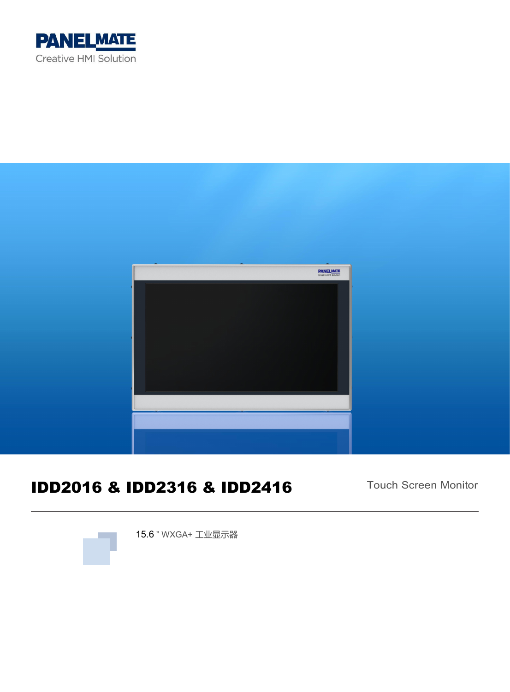



# IDD2016 & IDD2316 & IDD2416

Touch Screen Monitor



15.6 " WXGA+ 工业显示器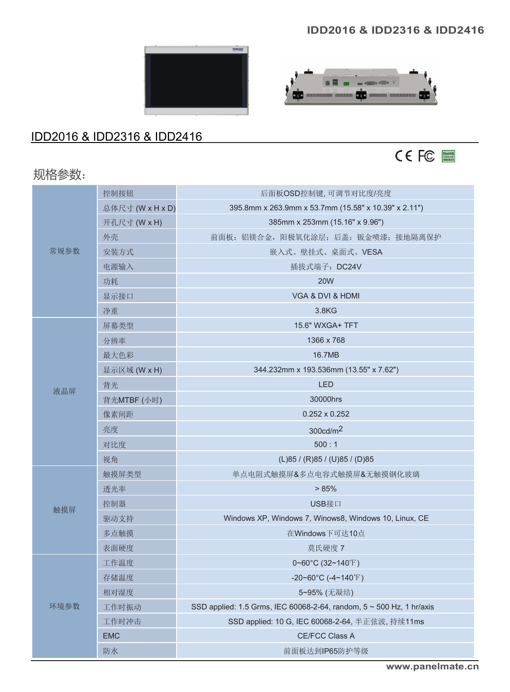#### **IDD2016 & IDD2316 & IDD2416**

 $\frac{1}{\sqrt{2}}$  and  $\frac{1}{\sqrt{2}}$  and  $\frac{1}{\sqrt{2}}$ 

**OD** maanaana maanaa OD maana maanaanaa OD

**BE** 



#### IDD2016 & IDD2316 & IDD2416

# 规格参数:



|      | 控制按钮                                                   | 后面板OSD控制键,可调节对比度/亮度                                                  |
|------|--------------------------------------------------------|----------------------------------------------------------------------|
|      | 总体尺寸 (W x H x D)                                       | 395.8mm x 263.9mm x 53.7mm (15.58" x 10.39" x 2.11")                 |
|      | 开孔尺寸 (W x H)                                           | 385mm x 253mm (15.16" x 9.96")                                       |
|      | 外壳                                                     | 前面板: 铝镁合金, 阳极氧化涂层; 后盖: 钣金喷漆; 接地隔离保护                                  |
| 常规参数 | 安装方式                                                   | 嵌入式、壁挂式、桌面式、VESA                                                     |
|      | 电源输入                                                   | 插拔式端子: DC24V                                                         |
|      | 功耗                                                     | <b>20W</b>                                                           |
|      | 显示接口                                                   | VGA & DVI & HDMI                                                     |
|      | 净重                                                     | 3.8KG                                                                |
|      | 屏幕类型                                                   | 15.6" WXGA+ TFT                                                      |
|      | 分辨率                                                    | 1366 x 768                                                           |
|      | 最大色彩                                                   | 16.7MB                                                               |
|      | 显示区域 (W x H)<br>344.232mm x 193.536mm (13.55" x 7.62") |                                                                      |
| 液晶屏  | 背光                                                     | <b>LED</b>                                                           |
|      | 背光MTBF (小时)                                            | 30000hrs                                                             |
|      | 像素间距                                                   | $0.252 \times 0.252$                                                 |
|      | 亮度                                                     | 300cd/m <sup>2</sup>                                                 |
|      | 对比度                                                    | 500:1                                                                |
|      | 视角                                                     | (L)85 / (R)85 / (U)85 / (D)85                                        |
|      | 触摸屏类型                                                  | 单点电阻式触摸屏&多点电容式触摸屏&无触摸钢化玻璃                                            |
|      | 透光率                                                    | > 85%                                                                |
| 触摸屏  | 控制器                                                    | USB接口                                                                |
|      | 驱动支持                                                   | Windows XP, Windows 7, Winows8, Windows 10, Linux, CE                |
|      | 多点触摸                                                   | 在Windows下可达10点                                                       |
|      | 表面硬度                                                   | 莫氏硬度 7                                                               |
|      | 工作温度                                                   | 0~60°C (32~140°F)                                                    |
|      | 存储温度                                                   | -20~60°C (-4~140°F)                                                  |
|      | 相对湿度                                                   | 5~95% (无凝结)                                                          |
| 环境参数 | 工作时振动                                                  | SSD applied: 1.5 Grms, IEC 60068-2-64, random, 5 ~ 500 Hz, 1 hr/axis |
|      | 工作时冲击                                                  | SSD applied: 10 G, IEC 60068-2-64, 半正弦波, 持续11ms                      |
|      | <b>EMC</b>                                             | CE/FCC Class A                                                       |
|      | 防水                                                     | 前面板达到IP65防护等级                                                        |
|      |                                                        |                                                                      |

**[www.panelmate.cn](http://www.nodka.com/)**